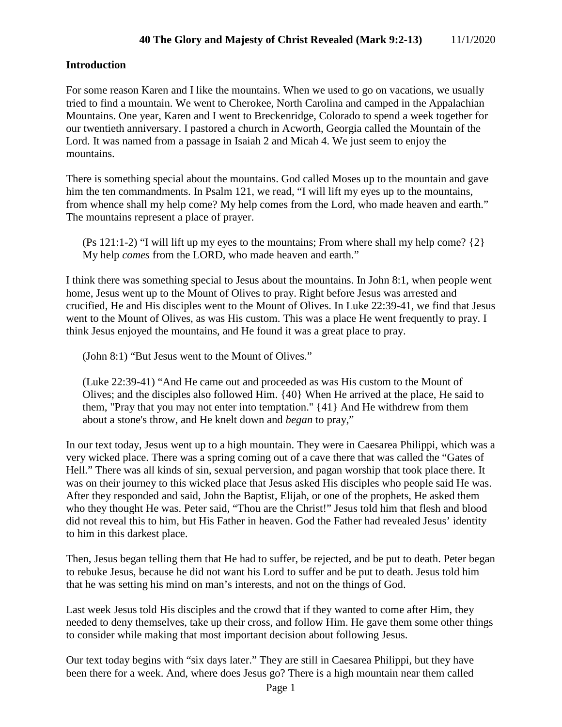### **Introduction**

For some reason Karen and I like the mountains. When we used to go on vacations, we usually tried to find a mountain. We went to Cherokee, North Carolina and camped in the Appalachian Mountains. One year, Karen and I went to Breckenridge, Colorado to spend a week together for our twentieth anniversary. I pastored a church in Acworth, Georgia called the Mountain of the Lord. It was named from a passage in Isaiah 2 and Micah 4. We just seem to enjoy the mountains.

There is something special about the mountains. God called Moses up to the mountain and gave him the ten commandments. In Psalm 121, we read, "I will lift my eyes up to the mountains, from whence shall my help come? My help comes from the Lord, who made heaven and earth." The mountains represent a place of prayer.

(Ps 121:1-2) "I will lift up my eyes to the mountains; From where shall my help come? {2} My help *comes* from the LORD, who made heaven and earth."

I think there was something special to Jesus about the mountains. In John 8:1, when people went home, Jesus went up to the Mount of Olives to pray. Right before Jesus was arrested and crucified, He and His disciples went to the Mount of Olives. In Luke 22:39-41, we find that Jesus went to the Mount of Olives, as was His custom. This was a place He went frequently to pray. I think Jesus enjoyed the mountains, and He found it was a great place to pray.

(John 8:1) "But Jesus went to the Mount of Olives."

(Luke 22:39-41) "And He came out and proceeded as was His custom to the Mount of Olives; and the disciples also followed Him. {40} When He arrived at the place, He said to them, "Pray that you may not enter into temptation." {41} And He withdrew from them about a stone's throw, and He knelt down and *began* to pray,"

In our text today, Jesus went up to a high mountain. They were in Caesarea Philippi, which was a very wicked place. There was a spring coming out of a cave there that was called the "Gates of Hell." There was all kinds of sin, sexual perversion, and pagan worship that took place there. It was on their journey to this wicked place that Jesus asked His disciples who people said He was. After they responded and said, John the Baptist, Elijah, or one of the prophets, He asked them who they thought He was. Peter said, "Thou are the Christ!" Jesus told him that flesh and blood did not reveal this to him, but His Father in heaven. God the Father had revealed Jesus' identity to him in this darkest place.

Then, Jesus began telling them that He had to suffer, be rejected, and be put to death. Peter began to rebuke Jesus, because he did not want his Lord to suffer and be put to death. Jesus told him that he was setting his mind on man's interests, and not on the things of God.

Last week Jesus told His disciples and the crowd that if they wanted to come after Him, they needed to deny themselves, take up their cross, and follow Him. He gave them some other things to consider while making that most important decision about following Jesus.

Our text today begins with "six days later." They are still in Caesarea Philippi, but they have been there for a week. And, where does Jesus go? There is a high mountain near them called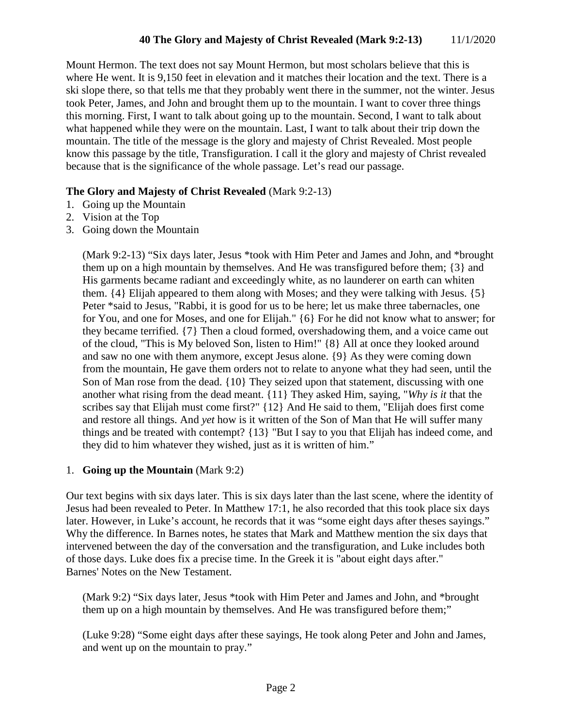Mount Hermon. The text does not say Mount Hermon, but most scholars believe that this is where He went. It is 9,150 feet in elevation and it matches their location and the text. There is a ski slope there, so that tells me that they probably went there in the summer, not the winter. Jesus took Peter, James, and John and brought them up to the mountain. I want to cover three things this morning. First, I want to talk about going up to the mountain. Second, I want to talk about what happened while they were on the mountain. Last, I want to talk about their trip down the mountain. The title of the message is the glory and majesty of Christ Revealed. Most people know this passage by the title, Transfiguration. I call it the glory and majesty of Christ revealed because that is the significance of the whole passage. Let's read our passage.

# **The Glory and Majesty of Christ Revealed** (Mark 9:2-13)

- 1. Going up the Mountain
- 2. Vision at the Top
- 3. Going down the Mountain

(Mark 9:2-13) "Six days later, Jesus \*took with Him Peter and James and John, and \*brought them up on a high mountain by themselves. And He was transfigured before them; {3} and His garments became radiant and exceedingly white, as no launderer on earth can whiten them. {4} Elijah appeared to them along with Moses; and they were talking with Jesus. {5} Peter \*said to Jesus, "Rabbi, it is good for us to be here; let us make three tabernacles, one for You, and one for Moses, and one for Elijah." {6} For he did not know what to answer; for they became terrified. {7} Then a cloud formed, overshadowing them, and a voice came out of the cloud, "This is My beloved Son, listen to Him!" {8} All at once they looked around and saw no one with them anymore, except Jesus alone. {9} As they were coming down from the mountain, He gave them orders not to relate to anyone what they had seen, until the Son of Man rose from the dead. {10} They seized upon that statement, discussing with one another what rising from the dead meant. {11} They asked Him, saying, "*Why is it* that the scribes say that Elijah must come first?" {12} And He said to them, "Elijah does first come and restore all things. And *yet* how is it written of the Son of Man that He will suffer many things and be treated with contempt? {13} "But I say to you that Elijah has indeed come, and they did to him whatever they wished, just as it is written of him."

### 1. **Going up the Mountain** (Mark 9:2)

Our text begins with six days later. This is six days later than the last scene, where the identity of Jesus had been revealed to Peter. In Matthew 17:1, he also recorded that this took place six days later. However, in Luke's account, he records that it was "some eight days after theses sayings." Why the difference. In Barnes notes, he states that Mark and Matthew mention the six days that intervened between the day of the conversation and the transfiguration, and Luke includes both of those days. Luke does fix a precise time. In the Greek it is "about eight days after." Barnes' Notes on the New Testament.

(Mark 9:2) "Six days later, Jesus \*took with Him Peter and James and John, and \*brought them up on a high mountain by themselves. And He was transfigured before them;"

(Luke 9:28) "Some eight days after these sayings, He took along Peter and John and James, and went up on the mountain to pray."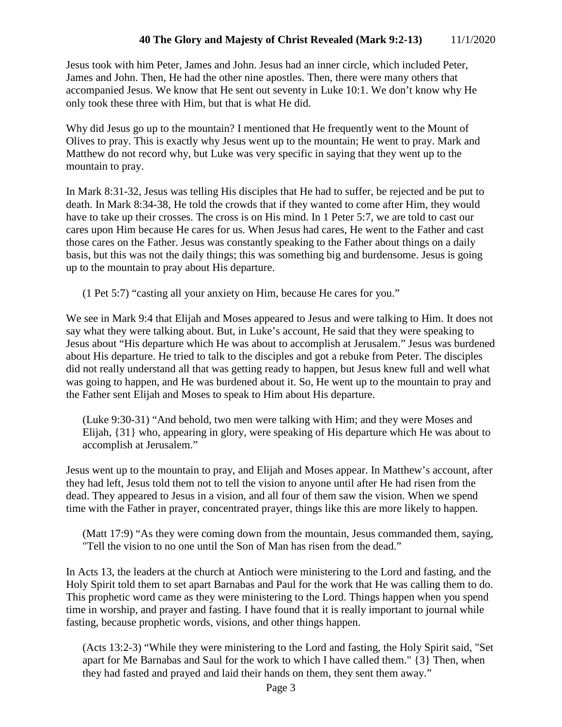Jesus took with him Peter, James and John. Jesus had an inner circle, which included Peter, James and John. Then, He had the other nine apostles. Then, there were many others that accompanied Jesus. We know that He sent out seventy in Luke 10:1. We don't know why He only took these three with Him, but that is what He did.

Why did Jesus go up to the mountain? I mentioned that He frequently went to the Mount of Olives to pray. This is exactly why Jesus went up to the mountain; He went to pray. Mark and Matthew do not record why, but Luke was very specific in saying that they went up to the mountain to pray.

In Mark 8:31-32, Jesus was telling His disciples that He had to suffer, be rejected and be put to death. In Mark 8:34-38, He told the crowds that if they wanted to come after Him, they would have to take up their crosses. The cross is on His mind. In 1 Peter 5:7, we are told to cast our cares upon Him because He cares for us. When Jesus had cares, He went to the Father and cast those cares on the Father. Jesus was constantly speaking to the Father about things on a daily basis, but this was not the daily things; this was something big and burdensome. Jesus is going up to the mountain to pray about His departure.

(1 Pet 5:7) "casting all your anxiety on Him, because He cares for you."

We see in Mark 9:4 that Elijah and Moses appeared to Jesus and were talking to Him. It does not say what they were talking about. But, in Luke's account, He said that they were speaking to Jesus about "His departure which He was about to accomplish at Jerusalem." Jesus was burdened about His departure. He tried to talk to the disciples and got a rebuke from Peter. The disciples did not really understand all that was getting ready to happen, but Jesus knew full and well what was going to happen, and He was burdened about it. So, He went up to the mountain to pray and the Father sent Elijah and Moses to speak to Him about His departure.

(Luke 9:30-31) "And behold, two men were talking with Him; and they were Moses and Elijah, {31} who, appearing in glory, were speaking of His departure which He was about to accomplish at Jerusalem."

Jesus went up to the mountain to pray, and Elijah and Moses appear. In Matthew's account, after they had left, Jesus told them not to tell the vision to anyone until after He had risen from the dead. They appeared to Jesus in a vision, and all four of them saw the vision. When we spend time with the Father in prayer, concentrated prayer, things like this are more likely to happen.

(Matt 17:9) "As they were coming down from the mountain, Jesus commanded them, saying, "Tell the vision to no one until the Son of Man has risen from the dead."

In Acts 13, the leaders at the church at Antioch were ministering to the Lord and fasting, and the Holy Spirit told them to set apart Barnabas and Paul for the work that He was calling them to do. This prophetic word came as they were ministering to the Lord. Things happen when you spend time in worship, and prayer and fasting. I have found that it is really important to journal while fasting, because prophetic words, visions, and other things happen.

(Acts 13:2-3) "While they were ministering to the Lord and fasting, the Holy Spirit said, "Set apart for Me Barnabas and Saul for the work to which I have called them." {3} Then, when they had fasted and prayed and laid their hands on them, they sent them away."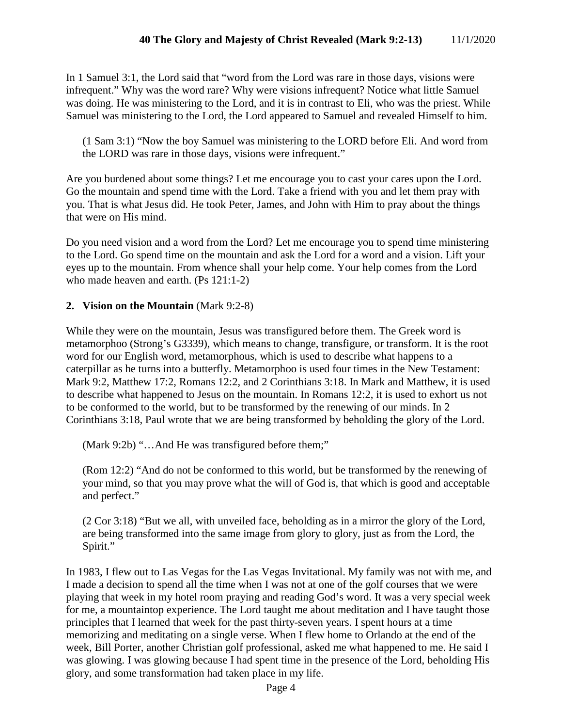In 1 Samuel 3:1, the Lord said that "word from the Lord was rare in those days, visions were infrequent." Why was the word rare? Why were visions infrequent? Notice what little Samuel was doing. He was ministering to the Lord, and it is in contrast to Eli, who was the priest. While Samuel was ministering to the Lord, the Lord appeared to Samuel and revealed Himself to him.

(1 Sam 3:1) "Now the boy Samuel was ministering to the LORD before Eli. And word from the LORD was rare in those days, visions were infrequent."

Are you burdened about some things? Let me encourage you to cast your cares upon the Lord. Go the mountain and spend time with the Lord. Take a friend with you and let them pray with you. That is what Jesus did. He took Peter, James, and John with Him to pray about the things that were on His mind.

Do you need vision and a word from the Lord? Let me encourage you to spend time ministering to the Lord. Go spend time on the mountain and ask the Lord for a word and a vision. Lift your eyes up to the mountain. From whence shall your help come. Your help comes from the Lord who made heaven and earth. (Ps 121:1-2)

# **2. Vision on the Mountain** (Mark 9:2-8)

While they were on the mountain, Jesus was transfigured before them. The Greek word is metamorphoo (Strong's G3339), which means to change, transfigure, or transform. It is the root word for our English word, metamorphous, which is used to describe what happens to a caterpillar as he turns into a butterfly. Metamorphoo is used four times in the New Testament: Mark 9:2, Matthew 17:2, Romans 12:2, and 2 Corinthians 3:18. In Mark and Matthew, it is used to describe what happened to Jesus on the mountain. In Romans 12:2, it is used to exhort us not to be conformed to the world, but to be transformed by the renewing of our minds. In 2 Corinthians 3:18, Paul wrote that we are being transformed by beholding the glory of the Lord.

(Mark 9:2b) "…And He was transfigured before them;"

(Rom 12:2) "And do not be conformed to this world, but be transformed by the renewing of your mind, so that you may prove what the will of God is, that which is good and acceptable and perfect."

(2 Cor 3:18) "But we all, with unveiled face, beholding as in a mirror the glory of the Lord, are being transformed into the same image from glory to glory, just as from the Lord, the Spirit."

In 1983, I flew out to Las Vegas for the Las Vegas Invitational. My family was not with me, and I made a decision to spend all the time when I was not at one of the golf courses that we were playing that week in my hotel room praying and reading God's word. It was a very special week for me, a mountaintop experience. The Lord taught me about meditation and I have taught those principles that I learned that week for the past thirty-seven years. I spent hours at a time memorizing and meditating on a single verse. When I flew home to Orlando at the end of the week, Bill Porter, another Christian golf professional, asked me what happened to me. He said I was glowing. I was glowing because I had spent time in the presence of the Lord, beholding His glory, and some transformation had taken place in my life.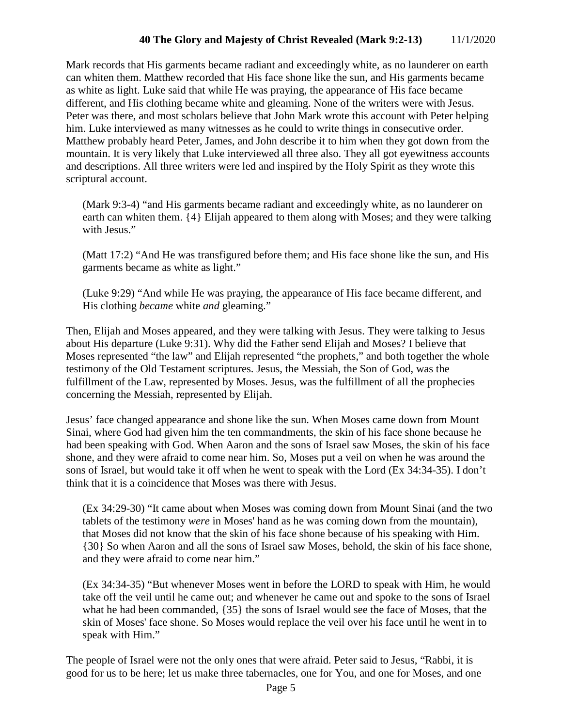# **40 The Glory and Majesty of Christ Revealed (Mark 9:2-13)** 11/1/2020

Mark records that His garments became radiant and exceedingly white, as no launderer on earth can whiten them. Matthew recorded that His face shone like the sun, and His garments became as white as light. Luke said that while He was praying, the appearance of His face became different, and His clothing became white and gleaming. None of the writers were with Jesus. Peter was there, and most scholars believe that John Mark wrote this account with Peter helping him. Luke interviewed as many witnesses as he could to write things in consecutive order. Matthew probably heard Peter, James, and John describe it to him when they got down from the mountain. It is very likely that Luke interviewed all three also. They all got eyewitness accounts and descriptions. All three writers were led and inspired by the Holy Spirit as they wrote this scriptural account.

(Mark 9:3-4) "and His garments became radiant and exceedingly white, as no launderer on earth can whiten them. {4} Elijah appeared to them along with Moses; and they were talking with Jesus."

(Matt 17:2) "And He was transfigured before them; and His face shone like the sun, and His garments became as white as light."

(Luke 9:29) "And while He was praying, the appearance of His face became different, and His clothing *became* white *and* gleaming."

Then, Elijah and Moses appeared, and they were talking with Jesus. They were talking to Jesus about His departure (Luke 9:31). Why did the Father send Elijah and Moses? I believe that Moses represented "the law" and Elijah represented "the prophets," and both together the whole testimony of the Old Testament scriptures. Jesus, the Messiah, the Son of God, was the fulfillment of the Law, represented by Moses. Jesus, was the fulfillment of all the prophecies concerning the Messiah, represented by Elijah.

Jesus' face changed appearance and shone like the sun. When Moses came down from Mount Sinai, where God had given him the ten commandments, the skin of his face shone because he had been speaking with God. When Aaron and the sons of Israel saw Moses, the skin of his face shone, and they were afraid to come near him. So, Moses put a veil on when he was around the sons of Israel, but would take it off when he went to speak with the Lord (Ex 34:34-35). I don't think that it is a coincidence that Moses was there with Jesus.

(Ex 34:29-30) "It came about when Moses was coming down from Mount Sinai (and the two tablets of the testimony *were* in Moses' hand as he was coming down from the mountain), that Moses did not know that the skin of his face shone because of his speaking with Him. {30} So when Aaron and all the sons of Israel saw Moses, behold, the skin of his face shone, and they were afraid to come near him."

(Ex 34:34-35) "But whenever Moses went in before the LORD to speak with Him, he would take off the veil until he came out; and whenever he came out and spoke to the sons of Israel what he had been commanded, {35} the sons of Israel would see the face of Moses, that the skin of Moses' face shone. So Moses would replace the veil over his face until he went in to speak with Him."

The people of Israel were not the only ones that were afraid. Peter said to Jesus, "Rabbi, it is good for us to be here; let us make three tabernacles, one for You, and one for Moses, and one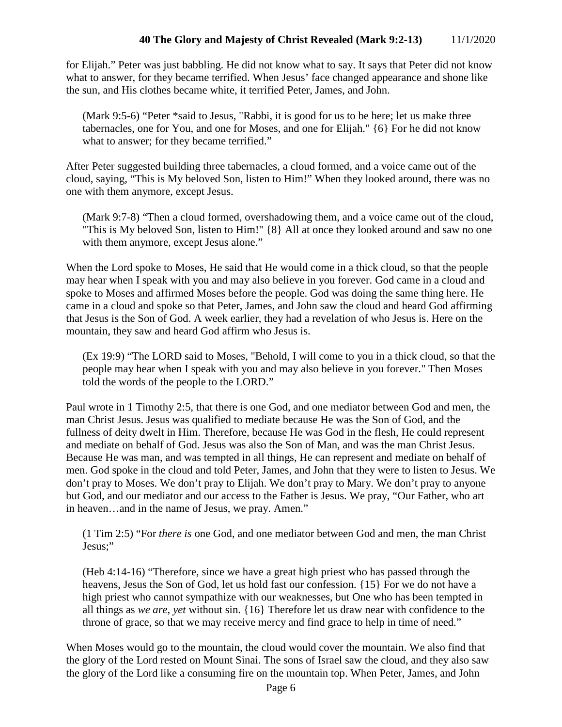for Elijah." Peter was just babbling. He did not know what to say. It says that Peter did not know what to answer, for they became terrified. When Jesus' face changed appearance and shone like the sun, and His clothes became white, it terrified Peter, James, and John.

(Mark 9:5-6) "Peter \*said to Jesus, "Rabbi, it is good for us to be here; let us make three tabernacles, one for You, and one for Moses, and one for Elijah." {6} For he did not know what to answer; for they became terrified."

After Peter suggested building three tabernacles, a cloud formed, and a voice came out of the cloud, saying, "This is My beloved Son, listen to Him!" When they looked around, there was no one with them anymore, except Jesus.

(Mark 9:7-8) "Then a cloud formed, overshadowing them, and a voice came out of the cloud, "This is My beloved Son, listen to Him!" {8} All at once they looked around and saw no one with them anymore, except Jesus alone."

When the Lord spoke to Moses, He said that He would come in a thick cloud, so that the people may hear when I speak with you and may also believe in you forever. God came in a cloud and spoke to Moses and affirmed Moses before the people. God was doing the same thing here. He came in a cloud and spoke so that Peter, James, and John saw the cloud and heard God affirming that Jesus is the Son of God. A week earlier, they had a revelation of who Jesus is. Here on the mountain, they saw and heard God affirm who Jesus is.

(Ex 19:9) "The LORD said to Moses, "Behold, I will come to you in a thick cloud, so that the people may hear when I speak with you and may also believe in you forever." Then Moses told the words of the people to the LORD."

Paul wrote in 1 Timothy 2:5, that there is one God, and one mediator between God and men, the man Christ Jesus. Jesus was qualified to mediate because He was the Son of God, and the fullness of deity dwelt in Him. Therefore, because He was God in the flesh, He could represent and mediate on behalf of God. Jesus was also the Son of Man, and was the man Christ Jesus. Because He was man, and was tempted in all things, He can represent and mediate on behalf of men. God spoke in the cloud and told Peter, James, and John that they were to listen to Jesus. We don't pray to Moses. We don't pray to Elijah. We don't pray to Mary. We don't pray to anyone but God, and our mediator and our access to the Father is Jesus. We pray, "Our Father, who art in heaven…and in the name of Jesus, we pray. Amen."

(1 Tim 2:5) "For *there is* one God, and one mediator between God and men, the man Christ Jesus;"

(Heb 4:14-16) "Therefore, since we have a great high priest who has passed through the heavens, Jesus the Son of God, let us hold fast our confession. {15} For we do not have a high priest who cannot sympathize with our weaknesses, but One who has been tempted in all things as *we are, yet* without sin. {16} Therefore let us draw near with confidence to the throne of grace, so that we may receive mercy and find grace to help in time of need."

When Moses would go to the mountain, the cloud would cover the mountain. We also find that the glory of the Lord rested on Mount Sinai. The sons of Israel saw the cloud, and they also saw the glory of the Lord like a consuming fire on the mountain top. When Peter, James, and John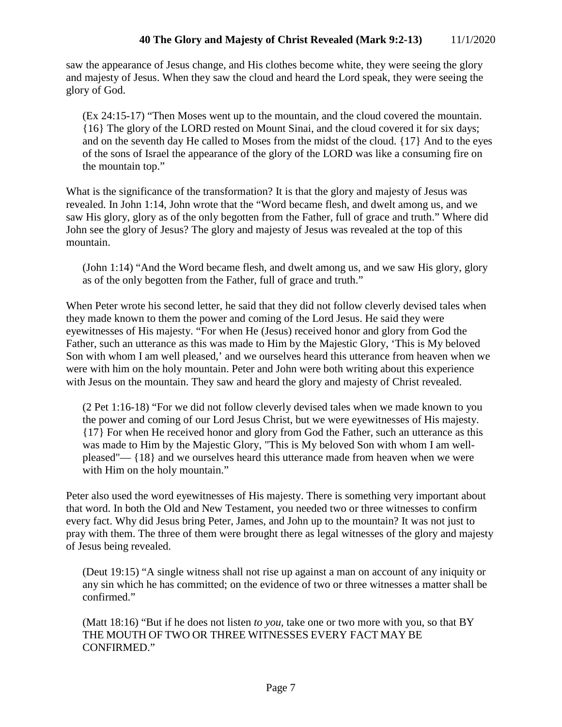saw the appearance of Jesus change, and His clothes become white, they were seeing the glory and majesty of Jesus. When they saw the cloud and heard the Lord speak, they were seeing the glory of God.

(Ex 24:15-17) "Then Moses went up to the mountain, and the cloud covered the mountain. {16} The glory of the LORD rested on Mount Sinai, and the cloud covered it for six days; and on the seventh day He called to Moses from the midst of the cloud. {17} And to the eyes of the sons of Israel the appearance of the glory of the LORD was like a consuming fire on the mountain top."

What is the significance of the transformation? It is that the glory and majesty of Jesus was revealed. In John 1:14, John wrote that the "Word became flesh, and dwelt among us, and we saw His glory, glory as of the only begotten from the Father, full of grace and truth." Where did John see the glory of Jesus? The glory and majesty of Jesus was revealed at the top of this mountain.

(John 1:14) "And the Word became flesh, and dwelt among us, and we saw His glory, glory as of the only begotten from the Father, full of grace and truth."

When Peter wrote his second letter, he said that they did not follow cleverly devised tales when they made known to them the power and coming of the Lord Jesus. He said they were eyewitnesses of His majesty. "For when He (Jesus) received honor and glory from God the Father, such an utterance as this was made to Him by the Majestic Glory, 'This is My beloved Son with whom I am well pleased,' and we ourselves heard this utterance from heaven when we were with him on the holy mountain. Peter and John were both writing about this experience with Jesus on the mountain. They saw and heard the glory and majesty of Christ revealed.

(2 Pet 1:16-18) "For we did not follow cleverly devised tales when we made known to you the power and coming of our Lord Jesus Christ, but we were eyewitnesses of His majesty. {17} For when He received honor and glory from God the Father, such an utterance as this was made to Him by the Majestic Glory, "This is My beloved Son with whom I am wellpleased"— {18} and we ourselves heard this utterance made from heaven when we were with Him on the holy mountain."

Peter also used the word eyewitnesses of His majesty. There is something very important about that word. In both the Old and New Testament, you needed two or three witnesses to confirm every fact. Why did Jesus bring Peter, James, and John up to the mountain? It was not just to pray with them. The three of them were brought there as legal witnesses of the glory and majesty of Jesus being revealed.

(Deut 19:15) "A single witness shall not rise up against a man on account of any iniquity or any sin which he has committed; on the evidence of two or three witnesses a matter shall be confirmed."

(Matt 18:16) "But if he does not listen *to you,* take one or two more with you, so that BY THE MOUTH OF TWO OR THREE WITNESSES EVERY FACT MAY BE CONFIRMED."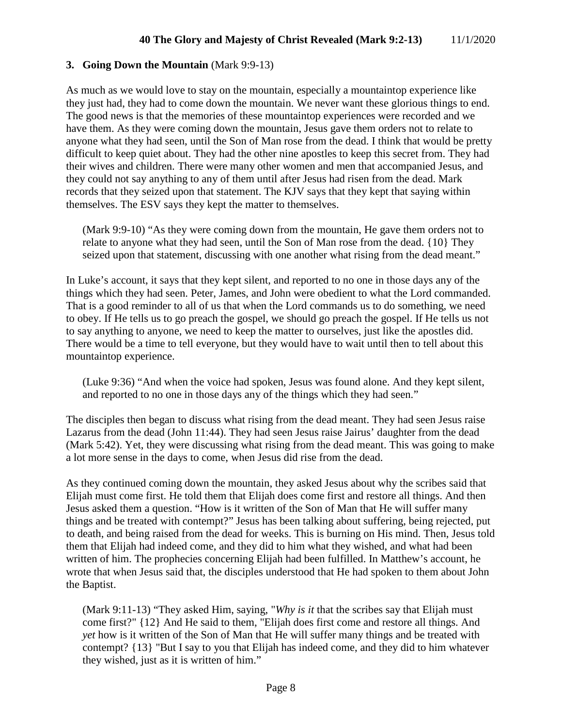### **3. Going Down the Mountain** (Mark 9:9-13)

As much as we would love to stay on the mountain, especially a mountaintop experience like they just had, they had to come down the mountain. We never want these glorious things to end. The good news is that the memories of these mountaintop experiences were recorded and we have them. As they were coming down the mountain, Jesus gave them orders not to relate to anyone what they had seen, until the Son of Man rose from the dead. I think that would be pretty difficult to keep quiet about. They had the other nine apostles to keep this secret from. They had their wives and children. There were many other women and men that accompanied Jesus, and they could not say anything to any of them until after Jesus had risen from the dead. Mark records that they seized upon that statement. The KJV says that they kept that saying within themselves. The ESV says they kept the matter to themselves.

(Mark 9:9-10) "As they were coming down from the mountain, He gave them orders not to relate to anyone what they had seen, until the Son of Man rose from the dead. {10} They seized upon that statement, discussing with one another what rising from the dead meant."

In Luke's account, it says that they kept silent, and reported to no one in those days any of the things which they had seen. Peter, James, and John were obedient to what the Lord commanded. That is a good reminder to all of us that when the Lord commands us to do something, we need to obey. If He tells us to go preach the gospel, we should go preach the gospel. If He tells us not to say anything to anyone, we need to keep the matter to ourselves, just like the apostles did. There would be a time to tell everyone, but they would have to wait until then to tell about this mountaintop experience.

(Luke 9:36) "And when the voice had spoken, Jesus was found alone. And they kept silent, and reported to no one in those days any of the things which they had seen."

The disciples then began to discuss what rising from the dead meant. They had seen Jesus raise Lazarus from the dead (John 11:44). They had seen Jesus raise Jairus' daughter from the dead (Mark 5:42). Yet, they were discussing what rising from the dead meant. This was going to make a lot more sense in the days to come, when Jesus did rise from the dead.

As they continued coming down the mountain, they asked Jesus about why the scribes said that Elijah must come first. He told them that Elijah does come first and restore all things. And then Jesus asked them a question. "How is it written of the Son of Man that He will suffer many things and be treated with contempt?" Jesus has been talking about suffering, being rejected, put to death, and being raised from the dead for weeks. This is burning on His mind. Then, Jesus told them that Elijah had indeed come, and they did to him what they wished, and what had been written of him. The prophecies concerning Elijah had been fulfilled. In Matthew's account, he wrote that when Jesus said that, the disciples understood that He had spoken to them about John the Baptist.

(Mark 9:11-13) "They asked Him, saying, "*Why is it* that the scribes say that Elijah must come first?" {12} And He said to them, "Elijah does first come and restore all things. And *yet* how is it written of the Son of Man that He will suffer many things and be treated with contempt? {13} "But I say to you that Elijah has indeed come, and they did to him whatever they wished, just as it is written of him."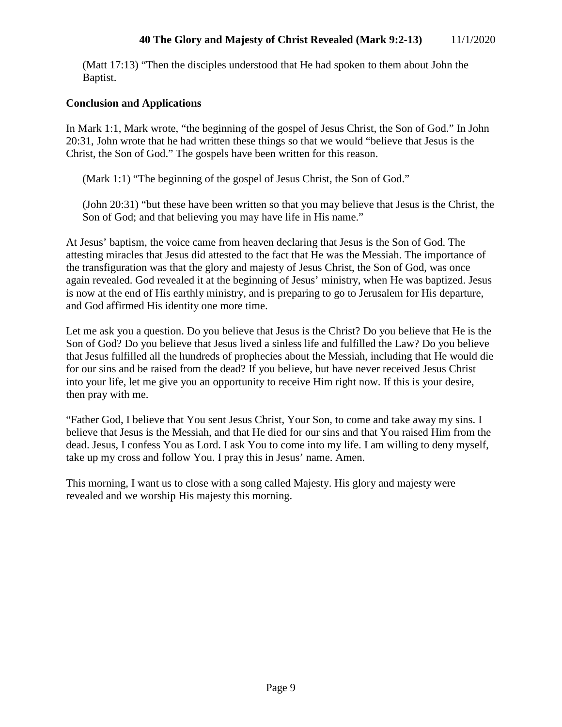(Matt 17:13) "Then the disciples understood that He had spoken to them about John the Baptist.

### **Conclusion and Applications**

In Mark 1:1, Mark wrote, "the beginning of the gospel of Jesus Christ, the Son of God." In John 20:31, John wrote that he had written these things so that we would "believe that Jesus is the Christ, the Son of God." The gospels have been written for this reason.

(Mark 1:1) "The beginning of the gospel of Jesus Christ, the Son of God."

(John 20:31) "but these have been written so that you may believe that Jesus is the Christ, the Son of God; and that believing you may have life in His name."

At Jesus' baptism, the voice came from heaven declaring that Jesus is the Son of God. The attesting miracles that Jesus did attested to the fact that He was the Messiah. The importance of the transfiguration was that the glory and majesty of Jesus Christ, the Son of God, was once again revealed. God revealed it at the beginning of Jesus' ministry, when He was baptized. Jesus is now at the end of His earthly ministry, and is preparing to go to Jerusalem for His departure, and God affirmed His identity one more time.

Let me ask you a question. Do you believe that Jesus is the Christ? Do you believe that He is the Son of God? Do you believe that Jesus lived a sinless life and fulfilled the Law? Do you believe that Jesus fulfilled all the hundreds of prophecies about the Messiah, including that He would die for our sins and be raised from the dead? If you believe, but have never received Jesus Christ into your life, let me give you an opportunity to receive Him right now. If this is your desire, then pray with me.

"Father God, I believe that You sent Jesus Christ, Your Son, to come and take away my sins. I believe that Jesus is the Messiah, and that He died for our sins and that You raised Him from the dead. Jesus, I confess You as Lord. I ask You to come into my life. I am willing to deny myself, take up my cross and follow You. I pray this in Jesus' name. Amen.

This morning, I want us to close with a song called Majesty. His glory and majesty were revealed and we worship His majesty this morning.